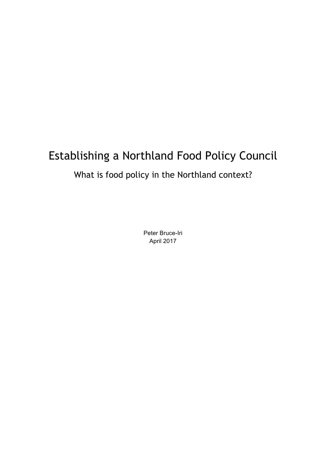# Establishing a Northland Food Policy Council

# What is food policy in the Northland context?

Peter Bruce-Iri April 2017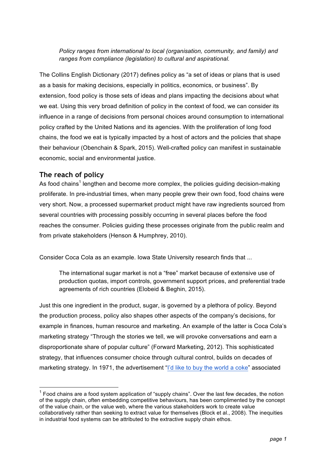*Policy ranges from international to local (organisation, community, and family) and ranges from compliance (legislation) to cultural and aspirational.*

The Collins English Dictionary (2017) defines policy as "a set of ideas or plans that is used as a basis for making decisions, especially in politics, economics, or business". By extension, food policy is those sets of ideas and plans impacting the decisions about what we eat. Using this very broad definition of policy in the context of food, we can consider its influence in a range of decisions from personal choices around consumption to international policy crafted by the United Nations and its agencies. With the proliferation of long food chains, the food we eat is typically impacted by a host of actors and the policies that shape their behaviour (Obenchain & Spark, 2015). Well-crafted policy can manifest in sustainable economic, social and environmental justice.

#### **The reach of policy**

As food chains<sup>1</sup> lengthen and become more complex, the policies guiding decision-making proliferate. In pre-industrial times, when many people grew their own food, food chains were very short. Now, a processed supermarket product might have raw ingredients sourced from several countries with processing possibly occurring in several places before the food reaches the consumer. Policies guiding these processes originate from the public realm and from private stakeholders (Henson & Humphrey, 2010).

Consider Coca Cola as an example. Iowa State University research finds that ...

The international sugar market is not a "free" market because of extensive use of production quotas, import controls, government support prices, and preferential trade agreements of rich countries (Elobeid & Beghin, 2015).

Just this one ingredient in the product, sugar, is governed by a plethora of policy. Beyond the production process, policy also shapes other aspects of the company's decisions, for example in finances, human resource and marketing. An example of the latter is Coca Cola's marketing strategy "Through the stories we tell, we will provoke conversations and earn a disproportionate share of popular culture" (Forward Marketing, 2012). This sophisticated strategy, that influences consumer choice through cultural control, builds on decades of marketing strategy. In 1971, the advertisement "I'd like to buy the world a coke" associated

 $<sup>1</sup>$  Food chains are a food system application of "supply chains". Over the last few decades, the notion</sup> of the supply chain, often embedding competitive behaviours, has been complimented by the concept of the value chain, or the value web, where the various stakeholders work to create value collaboratively rather than seeking to extract value for themselves (Block et al., 2008). The inequities in industrial food systems can be attributed to the extractive supply chain ethos.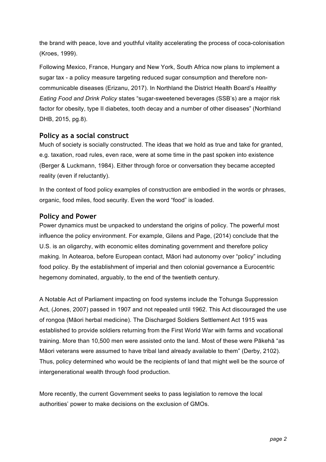the brand with peace, love and youthful vitality accelerating the process of coca-colonisation (Kroes, 1999).

Following Mexico, France, Hungary and New York, South Africa now plans to implement a sugar tax - a policy measure targeting reduced sugar consumption and therefore noncommunicable diseases (Erizanu, 2017). In Northland the District Health Board's *Healthy Eating Food and Drink Policy* states "sugar-sweetened beverages (SSB's) are a major risk factor for obesity, type II diabetes, tooth decay and a number of other diseases" (Northland DHB, 2015, pg.8).

#### **Policy as a social construct**

Much of society is socially constructed. The ideas that we hold as true and take for granted, e.g. taxation, road rules, even race, were at some time in the past spoken into existence (Berger & Luckmann, 1984). Either through force or conversation they became accepted reality (even if reluctantly).

In the context of food policy examples of construction are embodied in the words or phrases, organic, food miles, food security. Even the word "food" is loaded.

#### **Policy and Power**

Power dynamics must be unpacked to understand the origins of policy. The powerful most influence the policy environment. For example, Gilens and Page, (2014) conclude that the U.S. is an oligarchy, with economic elites dominating government and therefore policy making. In Aotearoa, before European contact, Māori had autonomy over "policy" including food policy. By the establishment of imperial and then colonial governance a Eurocentric hegemony dominated, arguably, to the end of the twentieth century.

A Notable Act of Parliament impacting on food systems include the Tohunga Suppression Act, (Jones, 2007) passed in 1907 and not repealed until 1962. This Act discouraged the use of rongoa (Māori herbal medicine). The Discharged Soldiers Settlement Act 1915 was established to provide soldiers returning from the First World War with farms and vocational training. More than 10,500 men were assisted onto the land. Most of these were Pākehā "as Māori veterans were assumed to have tribal land already available to them" (Derby, 2102). Thus, policy determined who would be the recipients of land that might well be the source of intergenerational wealth through food production.

More recently, the current Government seeks to pass legislation to remove the local authorities' power to make decisions on the exclusion of GMOs.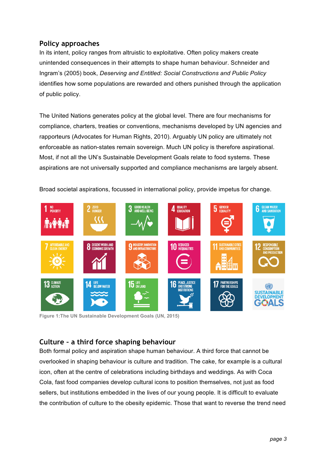## **Policy approaches**

In its intent, policy ranges from altruistic to exploitative. Often policy makers create unintended consequences in their attempts to shape human behaviour. Schneider and Ingram's (2005) book, *Deserving and Entitled: Social Constructions and Public Policy*  identifies how some populations are rewarded and others punished through the application of public policy.

The United Nations generates policy at the global level. There are four mechanisms for compliance, charters, treaties or conventions, mechanisms developed by UN agencies and rapporteurs (Advocates for Human Rights, 2010). Arguably UN policy are ultimately not enforceable as nation-states remain sovereign. Much UN policy is therefore aspirational. Most, if not all the UN's Sustainable Development Goals relate to food systems. These aspirations are not universally supported and compliance mechanisms are largely absent.

Broad societal aspirations, focussed in international policy, provide impetus for change.



**Figure 1:The UN Sustainable Development Goals (UN, 2015)**

## **Culture – a third force shaping behaviour**

Both formal policy and aspiration shape human behaviour. A third force that cannot be overlooked in shaping behaviour is culture and tradition. The cake, for example is a cultural icon, often at the centre of celebrations including birthdays and weddings. As with Coca Cola, fast food companies develop cultural icons to position themselves, not just as food sellers, but institutions embedded in the lives of our young people. It is difficult to evaluate the contribution of culture to the obesity epidemic. Those that want to reverse the trend need